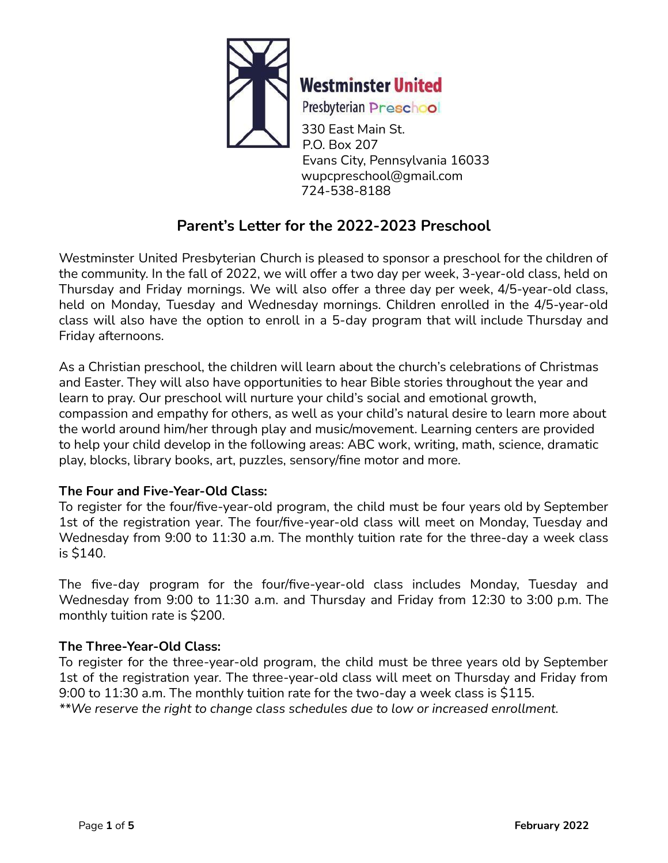

**Westminster United** 

Presbyterian Preschool

330 East Main St. P.O. Box 207 Evans City, Pennsylvania 16033 wupcpreschool@gmail.com 724-538-8188

# **Parent's Letter for the 2022-2023 Preschool**

Westminster United Presbyterian Church is pleased to sponsor a preschool for the children of the community. In the fall of 2022, we will offer a two day per week, 3-year-old class, held on Thursday and Friday mornings. We will also offer a three day per week, 4/5-year-old class, held on Monday, Tuesday and Wednesday mornings. Children enrolled in the 4/5-year-old class will also have the option to enroll in a 5-day program that will include Thursday and Friday afternoons.

As a Christian preschool, the children will learn about the church's celebrations of Christmas and Easter. They will also have opportunities to hear Bible stories throughout the year and learn to pray. Our preschool will nurture your child's social and emotional growth, compassion and empathy for others, as well as your child's natural desire to learn more about the world around him/her through play and music/movement. Learning centers are provided to help your child develop in the following areas: ABC work, writing, math, science, dramatic play, blocks, library books, art, puzzles, sensory/fine motor and more.

## **The Four and Five-Year-Old Class:**

To register for the four/five-year-old program, the child must be four years old by September 1st of the registration year. The four/five-year-old class will meet on Monday, Tuesday and Wednesday from 9:00 to 11:30 a.m. The monthly tuition rate for the three-day a week class is \$140.

The five-day program for the four/five-year-old class includes Monday, Tuesday and Wednesday from 9:00 to 11:30 a.m. and Thursday and Friday from 12:30 to 3:00 p.m. The monthly tuition rate is \$200.

## **The Three-Year-Old Class:**

To register for the three-year-old program, the child must be three years old by September 1st of the registration year. The three-year-old class will meet on Thursday and Friday from 9:00 to 11:30 a.m. The monthly tuition rate for the two-day a week class is \$115. *\*\*We reserve the right to change class schedules due to low or increased enrollment.*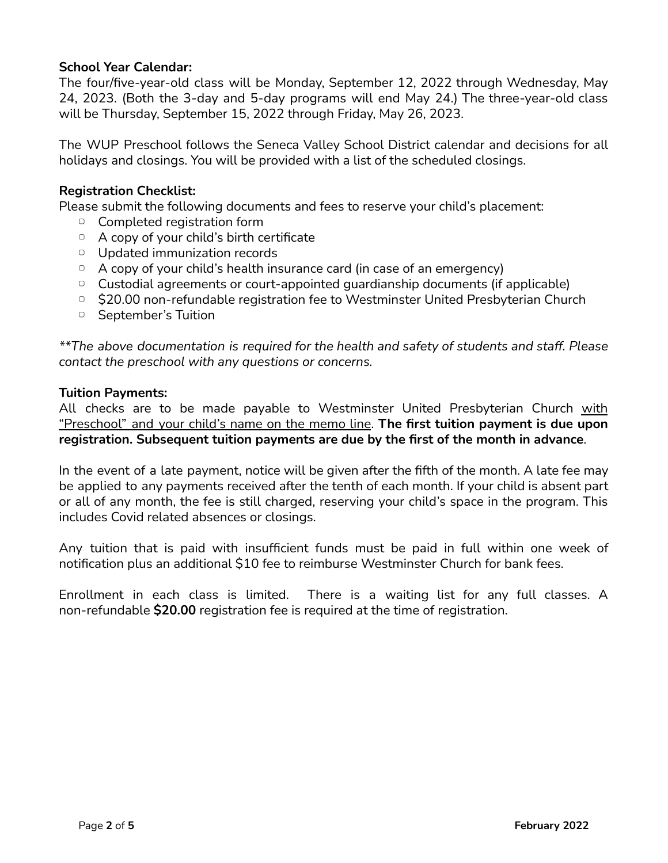### **School Year Calendar:**

The four/five-year-old class will be Monday, September 12, 2022 through Wednesday, May 24, 2023. (Both the 3-day and 5-day programs will end May 24.) The three-year-old class will be Thursday, September 15, 2022 through Friday, May 26, 2023.

The WUP Preschool follows the Seneca Valley School District calendar and decisions for all holidays and closings. You will be provided with a list of the scheduled closings.

#### **Registration Checklist:**

Please submit the following documents and fees to reserve your child's placement:

- ▢ Completed registration form
- ▢ A copy of your child's birth certificate
- ▢ Updated immunization records
- $\Box$  A copy of your child's health insurance card (in case of an emergency)
- ▢ Custodial agreements or court-appointed guardianship documents (if applicable)
- ▢ \$20.00 non-refundable registration fee to Westminster United Presbyterian Church
- ▢ September's Tuition

*\*\*The above documentation is required for the health and safety of students and staff. Please contact the preschool with any questions or concerns.*

#### **Tuition Payments:**

All checks are to be made payable to Westminster United Presbyterian Church with "Preschool" and your child's name on the memo line. **The first tuition payment is due upon registration. Subsequent tuition payments are due by the first of the month in advance**.

In the event of a late payment, notice will be given after the fifth of the month. A late fee may be applied to any payments received after the tenth of each month. If your child is absent part or all of any month, the fee is still charged, reserving your child's space in the program. This includes Covid related absences or closings.

Any tuition that is paid with insufficient funds must be paid in full within one week of notification plus an additional \$10 fee to reimburse Westminster Church for bank fees.

Enrollment in each class is limited. There is a waiting list for any full classes. A non-refundable **\$20.00** registration fee is required at the time of registration.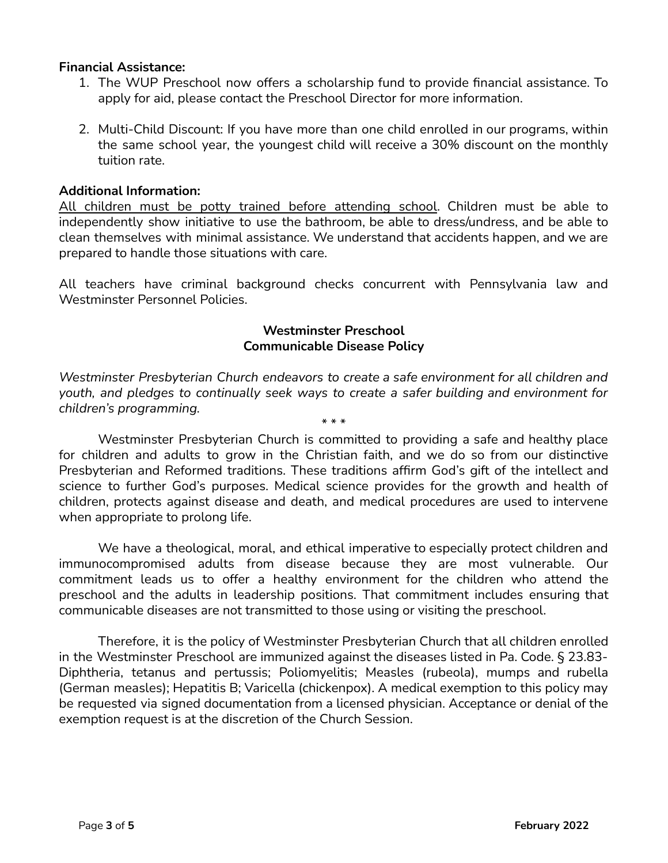#### **Financial Assistance:**

- 1. The WUP Preschool now offers a scholarship fund to provide financial assistance. To apply for aid, please contact the Preschool Director for more information.
- 2. Multi-Child Discount: If you have more than one child enrolled in our programs, within the same school year, the youngest child will receive a 30% discount on the monthly tuition rate.

#### **Additional Information:**

All children must be potty trained before attending school. Children must be able to independently show initiative to use the bathroom, be able to dress/undress, and be able to clean themselves with minimal assistance. We understand that accidents happen, and we are prepared to handle those situations with care.

All teachers have criminal background checks concurrent with Pennsylvania law and Westminster Personnel Policies.

#### **Westminster Preschool Communicable Disease Policy**

*Westminster Presbyterian Church endeavors to create a safe environment for all children and youth, and pledges to continually seek ways to create a safer building and environment for children's programming.*

\* \* \*

Westminster Presbyterian Church is committed to providing a safe and healthy place for children and adults to grow in the Christian faith, and we do so from our distinctive Presbyterian and Reformed traditions. These traditions affirm God's gift of the intellect and science to further God's purposes. Medical science provides for the growth and health of children, protects against disease and death, and medical procedures are used to intervene when appropriate to prolong life.

We have a theological, moral, and ethical imperative to especially protect children and immunocompromised adults from disease because they are most vulnerable. Our commitment leads us to offer a healthy environment for the children who attend the preschool and the adults in leadership positions. That commitment includes ensuring that communicable diseases are not transmitted to those using or visiting the preschool.

Therefore, it is the policy of Westminster Presbyterian Church that all children enrolled in the Westminster Preschool are immunized against the diseases listed in Pa. Code. § 23.83- Diphtheria, tetanus and pertussis; Poliomyelitis; Measles (rubeola), mumps and rubella (German measles); Hepatitis B; Varicella (chickenpox). A medical exemption to this policy may be requested via signed documentation from a licensed physician. Acceptance or denial of the exemption request is at the discretion of the Church Session.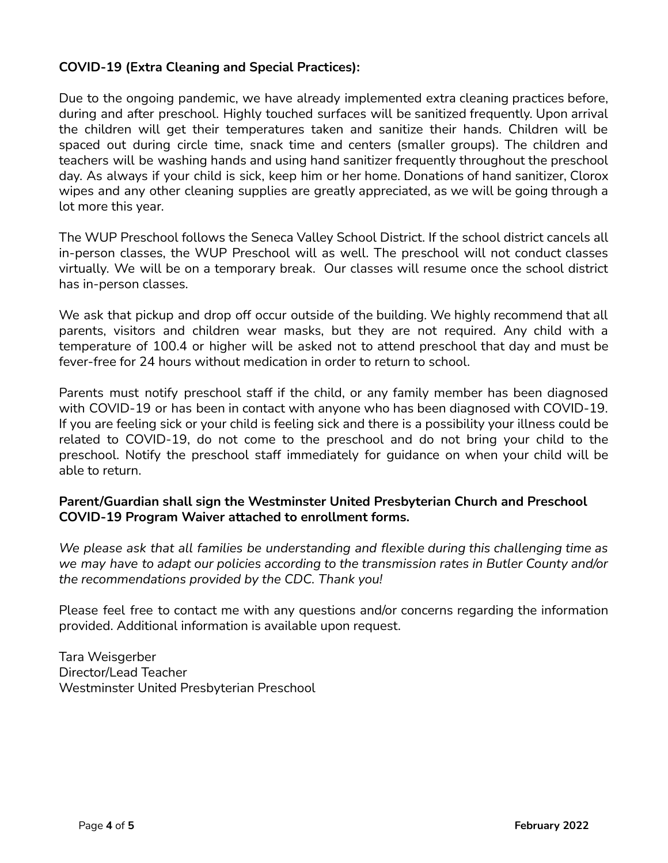## **COVID-19 (Extra Cleaning and Special Practices):**

Due to the ongoing pandemic, we have already implemented extra cleaning practices before, during and after preschool. Highly touched surfaces will be sanitized frequently. Upon arrival the children will get their temperatures taken and sanitize their hands. Children will be spaced out during circle time, snack time and centers (smaller groups). The children and teachers will be washing hands and using hand sanitizer frequently throughout the preschool day. As always if your child is sick, keep him or her home. Donations of hand sanitizer, Clorox wipes and any other cleaning supplies are greatly appreciated, as we will be going through a lot more this year.

The WUP Preschool follows the Seneca Valley School District. If the school district cancels all in-person classes, the WUP Preschool will as well. The preschool will not conduct classes virtually. We will be on a temporary break. Our classes will resume once the school district has in-person classes.

We ask that pickup and drop off occur outside of the building. We highly recommend that all parents, visitors and children wear masks, but they are not required. Any child with a temperature of 100.4 or higher will be asked not to attend preschool that day and must be fever-free for 24 hours without medication in order to return to school.

Parents must notify preschool staff if the child, or any family member has been diagnosed with COVID-19 or has been in contact with anyone who has been diagnosed with COVID-19. If you are feeling sick or your child is feeling sick and there is a possibility your illness could be related to COVID-19, do not come to the preschool and do not bring your child to the preschool. Notify the preschool staff immediately for guidance on when your child will be able to return.

### **Parent/Guardian shall sign the Westminster United Presbyterian Church and Preschool COVID-19 Program Waiver attached to enrollment forms.**

*We please ask that all families be understanding and flexible during this challenging time as we may have to adapt our policies according to the transmission rates in Butler County and/or the recommendations provided by the CDC. Thank you!*

Please feel free to contact me with any questions and/or concerns regarding the information provided. Additional information is available upon request.

Tara Weisgerber Director/Lead Teacher Westminster United Presbyterian Preschool